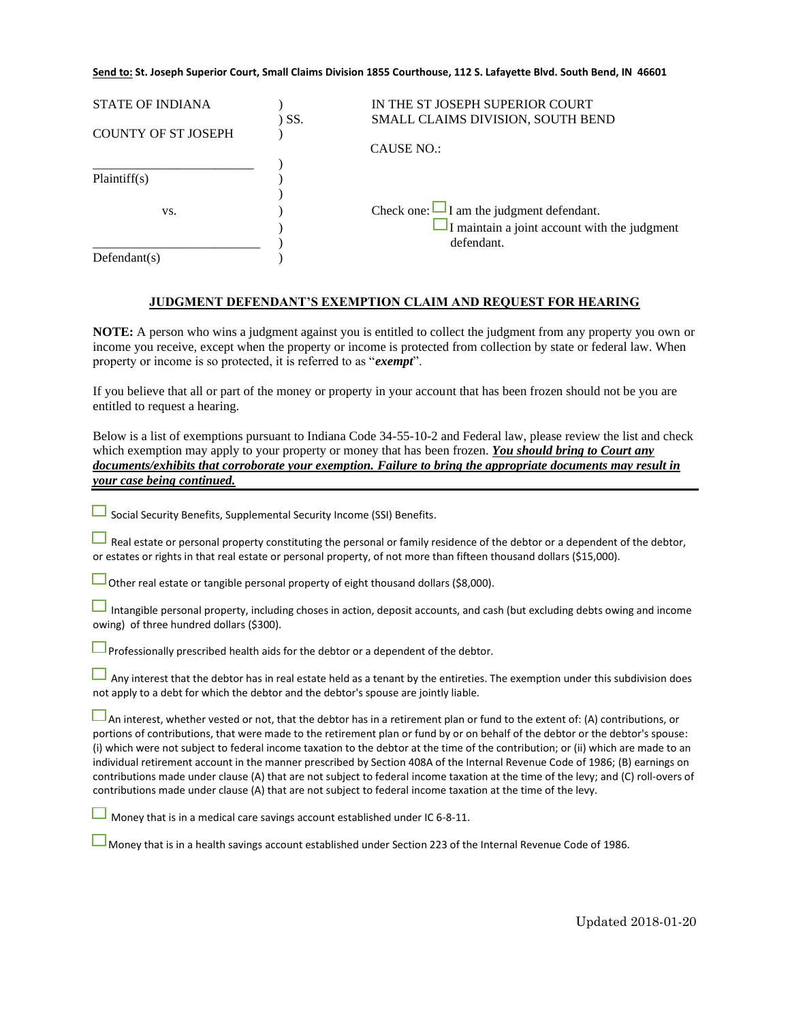## **Send to: St. Joseph Superior Court, Small Claims Division 1855 Courthouse, 112 S. Lafayette Blvd. South Bend, IN 46601**

| <b>STATE OF INDIANA</b>    |       | IN THE ST JOSEPH SUPERIOR COURT                     |
|----------------------------|-------|-----------------------------------------------------|
|                            | ) SS. | SMALL CLAIMS DIVISION, SOUTH BEND                   |
| <b>COUNTY OF ST JOSEPH</b> |       |                                                     |
|                            |       | <b>CAUSE NO.:</b>                                   |
|                            |       |                                                     |
| Plaintiff(s)               |       |                                                     |
|                            |       |                                                     |
| VS.                        |       | Check one: $\Box$ I am the judgment defendant.      |
|                            |       | $\Box$ I maintain a joint account with the judgment |
|                            |       | defendant.                                          |
| Defendant(s)               |       |                                                     |

## **JUDGMENT DEFENDANT'S EXEMPTION CLAIM AND REQUEST FOR HEARING**

**NOTE:** A person who wins a judgment against you is entitled to collect the judgment from any property you own or income you receive, except when the property or income is protected from collection by state or federal law. When property or income is so protected, it is referred to as "*exempt*".

If you believe that all or part of the money or property in your account that has been frozen should not be you are entitled to request a hearing.

Below is a list of exemptions pursuant to Indiana Code 34-55-10-2 and Federal law, please review the list and check which exemption may apply to your property or money that has been frozen. *You should bring to Court any documents/exhibits that corroborate your exemption. Failure to bring the appropriate documents may result in your case being continued.*

 $\Box$  Social Security Benefits, Supplemental Security Income (SSI) Benefits.

Real estate or personal property constituting the personal or family residence of the debtor or a dependent of the debtor, or estates or rights in that real estate or personal property, of not more than fifteen thousand dollars (\$15,000).

Other real estate or tangible personal property of eight thousand dollars (\$8,000).

Intangible personal property, including choses in action, deposit accounts, and cash (but excluding debts owing and income owing) of three hundred dollars (\$300).

 $\Box$  Professionally prescribed health aids for the debtor or a dependent of the debtor.

 $\Box$  Any interest that the debtor has in real estate held as a tenant by the entireties. The exemption under this subdivision does not apply to a debt for which the debtor and the debtor's spouse are jointly liable.

 $\Box$  An interest, whether vested or not, that the debtor has in a retirement plan or fund to the extent of: (A) contributions, or portions of contributions, that were made to the retirement plan or fund by or on behalf of the debtor or the debtor's spouse: (i) which were not subject to federal income taxation to the debtor at the time of the contribution; or (ii) which are made to an individual retirement account in the manner prescribed by Section 408A of the Internal Revenue Code of 1986; (B) earnings on contributions made under clause (A) that are not subject to federal income taxation at the time of the levy; and (C) roll-overs of contributions made under clause (A) that are not subject to federal income taxation at the time of the levy.

 $\Box$  Money that is in a medical care savings account established under IC 6-8-11.

Money that is in a health savings account established under Section 223 of the Internal Revenue Code of 1986.